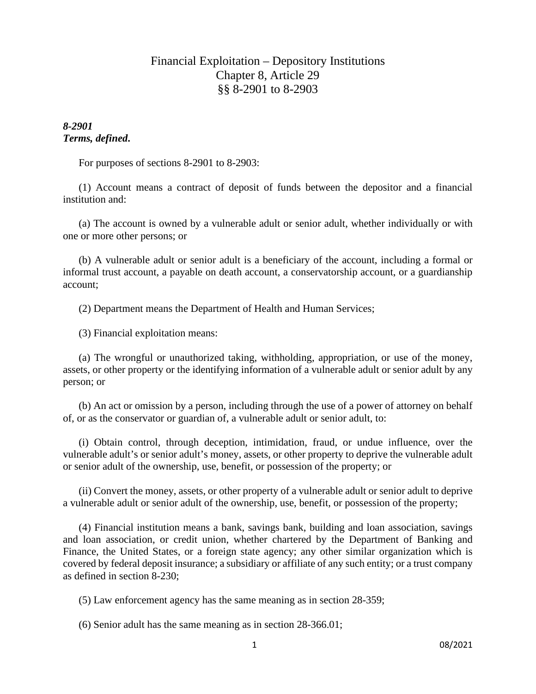# Financial Exploitation – Depository Institutions Chapter 8, Article 29 §§ 8-2901 to 8-2903

## *8-2901 Terms, defined***.**

For purposes of sections 8-2901 to 8-2903:

(1) Account means a contract of deposit of funds between the depositor and a financial institution and:

(a) The account is owned by a vulnerable adult or senior adult, whether individually or with one or more other persons; or

(b) A vulnerable adult or senior adult is a beneficiary of the account, including a formal or informal trust account, a payable on death account, a conservatorship account, or a guardianship account;

(2) Department means the Department of Health and Human Services;

(3) Financial exploitation means:

(a) The wrongful or unauthorized taking, withholding, appropriation, or use of the money, assets, or other property or the identifying information of a vulnerable adult or senior adult by any person; or

(b) An act or omission by a person, including through the use of a power of attorney on behalf of, or as the conservator or guardian of, a vulnerable adult or senior adult, to:

(i) Obtain control, through deception, intimidation, fraud, or undue influence, over the vulnerable adult's or senior adult's money, assets, or other property to deprive the vulnerable adult or senior adult of the ownership, use, benefit, or possession of the property; or

(ii) Convert the money, assets, or other property of a vulnerable adult or senior adult to deprive a vulnerable adult or senior adult of the ownership, use, benefit, or possession of the property;

(4) Financial institution means a bank, savings bank, building and loan association, savings and loan association, or credit union, whether chartered by the Department of Banking and Finance, the United States, or a foreign state agency; any other similar organization which is covered by federal deposit insurance; a subsidiary or affiliate of any such entity; or a trust company as defined in section 8-230;

(5) Law enforcement agency has the same meaning as in section 28-359;

(6) Senior adult has the same meaning as in section 28-366.01;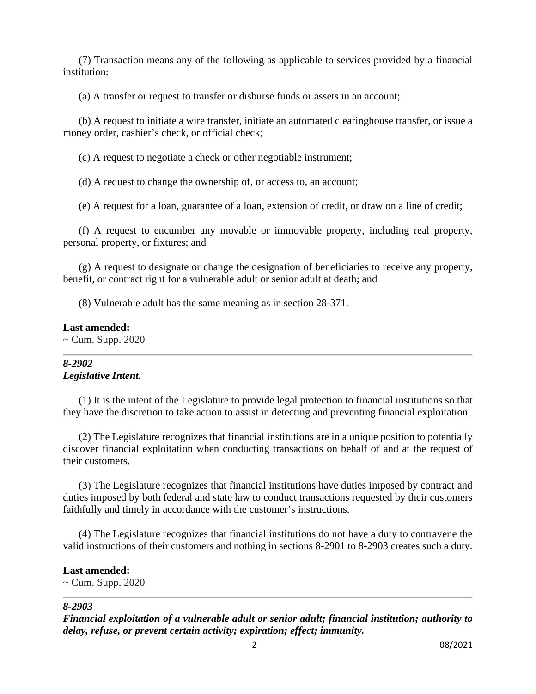(7) Transaction means any of the following as applicable to services provided by a financial institution:

(a) A transfer or request to transfer or disburse funds or assets in an account;

(b) A request to initiate a wire transfer, initiate an automated clearinghouse transfer, or issue a money order, cashier's check, or official check;

(c) A request to negotiate a check or other negotiable instrument;

(d) A request to change the ownership of, or access to, an account;

(e) A request for a loan, guarantee of a loan, extension of credit, or draw on a line of credit;

(f) A request to encumber any movable or immovable property, including real property, personal property, or fixtures; and

(g) A request to designate or change the designation of beneficiaries to receive any property, benefit, or contract right for a vulnerable adult or senior adult at death; and

(8) Vulnerable adult has the same meaning as in section 28-371.

### **Last amended:**

 $\sim$  Cum. Supp. 2020

## *8-2902 Legislative Intent.*

(1) It is the intent of the Legislature to provide legal protection to financial institutions so that they have the discretion to take action to assist in detecting and preventing financial exploitation.

(2) The Legislature recognizes that financial institutions are in a unique position to potentially discover financial exploitation when conducting transactions on behalf of and at the request of their customers.

(3) The Legislature recognizes that financial institutions have duties imposed by contract and duties imposed by both federal and state law to conduct transactions requested by their customers faithfully and timely in accordance with the customer's instructions.

(4) The Legislature recognizes that financial institutions do not have a duty to contravene the valid instructions of their customers and nothing in sections 8-2901 to 8-2903 creates such a duty.

## **Last amended:**

 $\sim$  Cum. Supp. 2020

### *8-2903*

*Financial exploitation of a vulnerable adult or senior adult; financial institution; authority to delay, refuse, or prevent certain activity; expiration; effect; immunity.*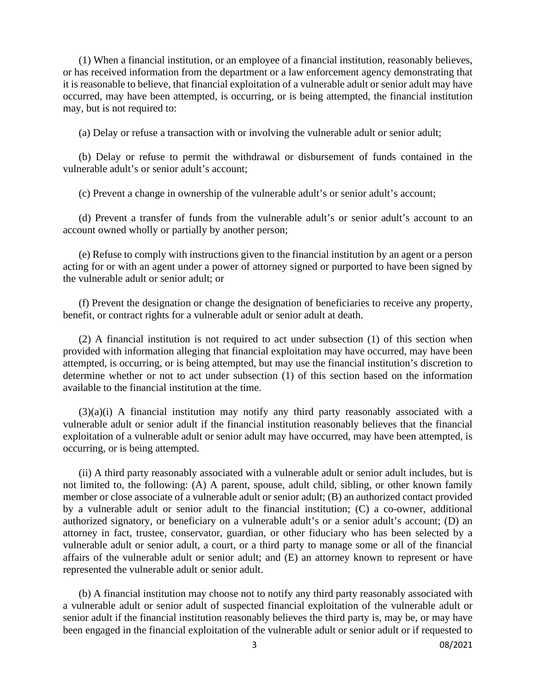(1) When a financial institution, or an employee of a financial institution, reasonably believes, or has received information from the department or a law enforcement agency demonstrating that it is reasonable to believe, that financial exploitation of a vulnerable adult or senior adult may have occurred, may have been attempted, is occurring, or is being attempted, the financial institution may, but is not required to:

(a) Delay or refuse a transaction with or involving the vulnerable adult or senior adult;

(b) Delay or refuse to permit the withdrawal or disbursement of funds contained in the vulnerable adult's or senior adult's account;

(c) Prevent a change in ownership of the vulnerable adult's or senior adult's account;

(d) Prevent a transfer of funds from the vulnerable adult's or senior adult's account to an account owned wholly or partially by another person;

(e) Refuse to comply with instructions given to the financial institution by an agent or a person acting for or with an agent under a power of attorney signed or purported to have been signed by the vulnerable adult or senior adult; or

(f) Prevent the designation or change the designation of beneficiaries to receive any property, benefit, or contract rights for a vulnerable adult or senior adult at death.

(2) A financial institution is not required to act under subsection (1) of this section when provided with information alleging that financial exploitation may have occurred, may have been attempted, is occurring, or is being attempted, but may use the financial institution's discretion to determine whether or not to act under subsection (1) of this section based on the information available to the financial institution at the time.

(3)(a)(i) A financial institution may notify any third party reasonably associated with a vulnerable adult or senior adult if the financial institution reasonably believes that the financial exploitation of a vulnerable adult or senior adult may have occurred, may have been attempted, is occurring, or is being attempted.

(ii) A third party reasonably associated with a vulnerable adult or senior adult includes, but is not limited to, the following: (A) A parent, spouse, adult child, sibling, or other known family member or close associate of a vulnerable adult or senior adult; (B) an authorized contact provided by a vulnerable adult or senior adult to the financial institution; (C) a co-owner, additional authorized signatory, or beneficiary on a vulnerable adult's or a senior adult's account; (D) an attorney in fact, trustee, conservator, guardian, or other fiduciary who has been selected by a vulnerable adult or senior adult, a court, or a third party to manage some or all of the financial affairs of the vulnerable adult or senior adult; and (E) an attorney known to represent or have represented the vulnerable adult or senior adult.

(b) A financial institution may choose not to notify any third party reasonably associated with a vulnerable adult or senior adult of suspected financial exploitation of the vulnerable adult or senior adult if the financial institution reasonably believes the third party is, may be, or may have been engaged in the financial exploitation of the vulnerable adult or senior adult or if requested to